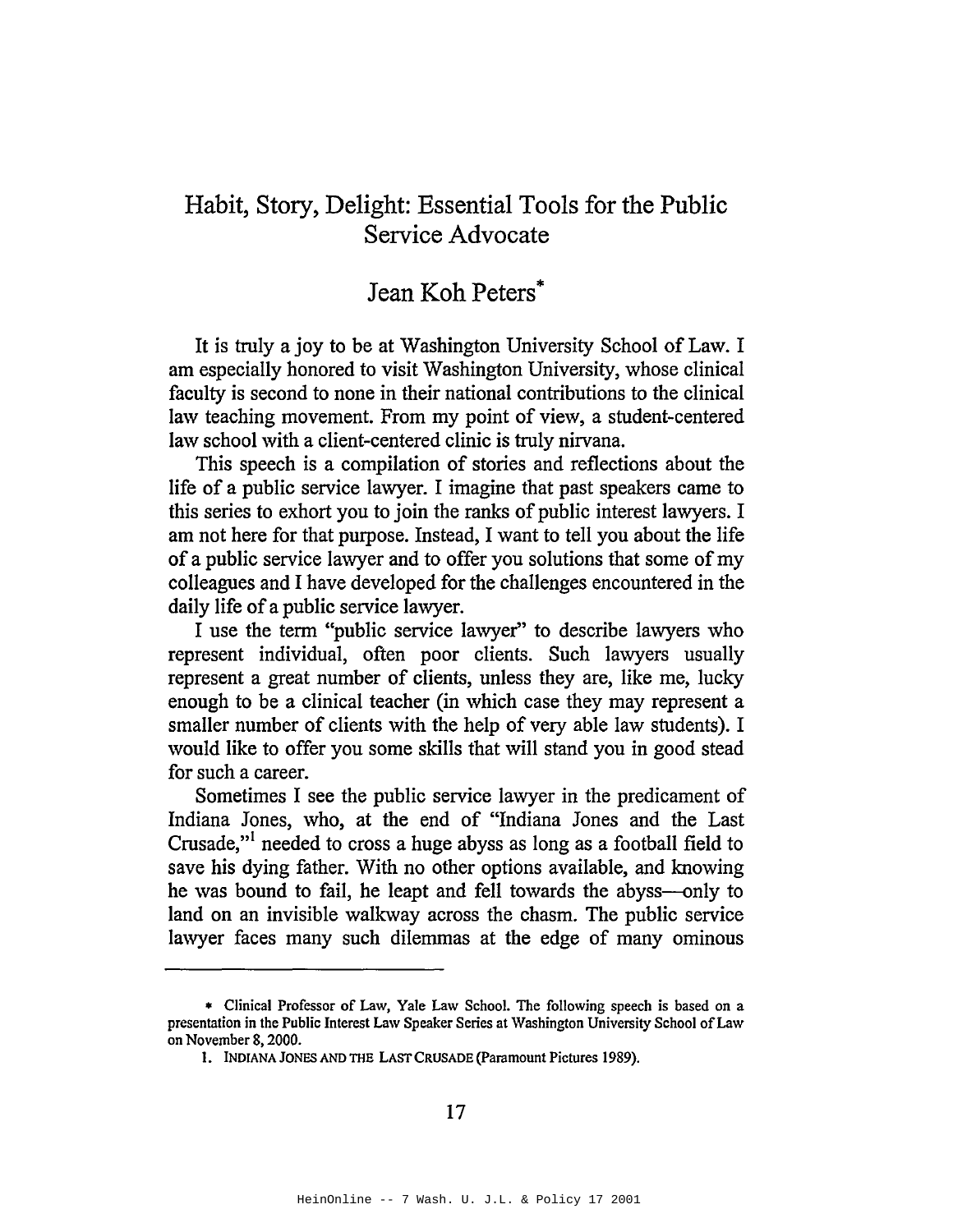# Habit, Story, Delight: Essential Tools for the Public Service Advocate

## Jean Koh Peters\*

It is truly a joy to be at Washington University School of Law. I am especially honored to visit Washington University, whose clinical faculty is second to none in their national contributions to the clinical law teaching movement. From my point of view, a student-centered law school with a client-centered clinic is truly nirvana.

This speech is a compilation of stories and reflections about the life of a public service lawyer. I imagine that past speakers came to this series to exhort you to join the ranks of public interest lawyers. I am not here for that purpose. Instead, I want to tell you about the life of a public service lawyer and to offer you solutions that some of my colleagues and I have developed for the challenges encountered in the daily life of a public service lawyer.

I use the term "public service lawyer" to describe lawyers who represent individual, often poor clients. Such lawyers usually represent a great number of clients, unless they are, like me, lucky enough to be a clinical teacher (in which case they may represent a smaller number of clients with the help of very able law students). I would like to offer you some skills that will stand you in good stead for such a career.

Sometimes I see the public service lawyer in the predicament of Indiana Jones, who, at the end of "Indiana Jones and the Last Crusade,"! needed to cross a huge abyss as long as a football field to save his dying father. With no other options available, and knowing he was bound to fail, he leapt and fell towards the abyss—only to land on an invisible walkway across the chasm. The public service lawyer faces many such dilemmas at the edge of many ominous

<sup>\*</sup> Clinical Professor of Law, Yale Law School. The following speech is based on a presentation in the Public Interest Law Speaker Series at Washington University School of Law on November 8, 2000.

<sup>1.</sup> INDIANA JONES AND THE LAST CRUSADE (Paramount Pictures 1989).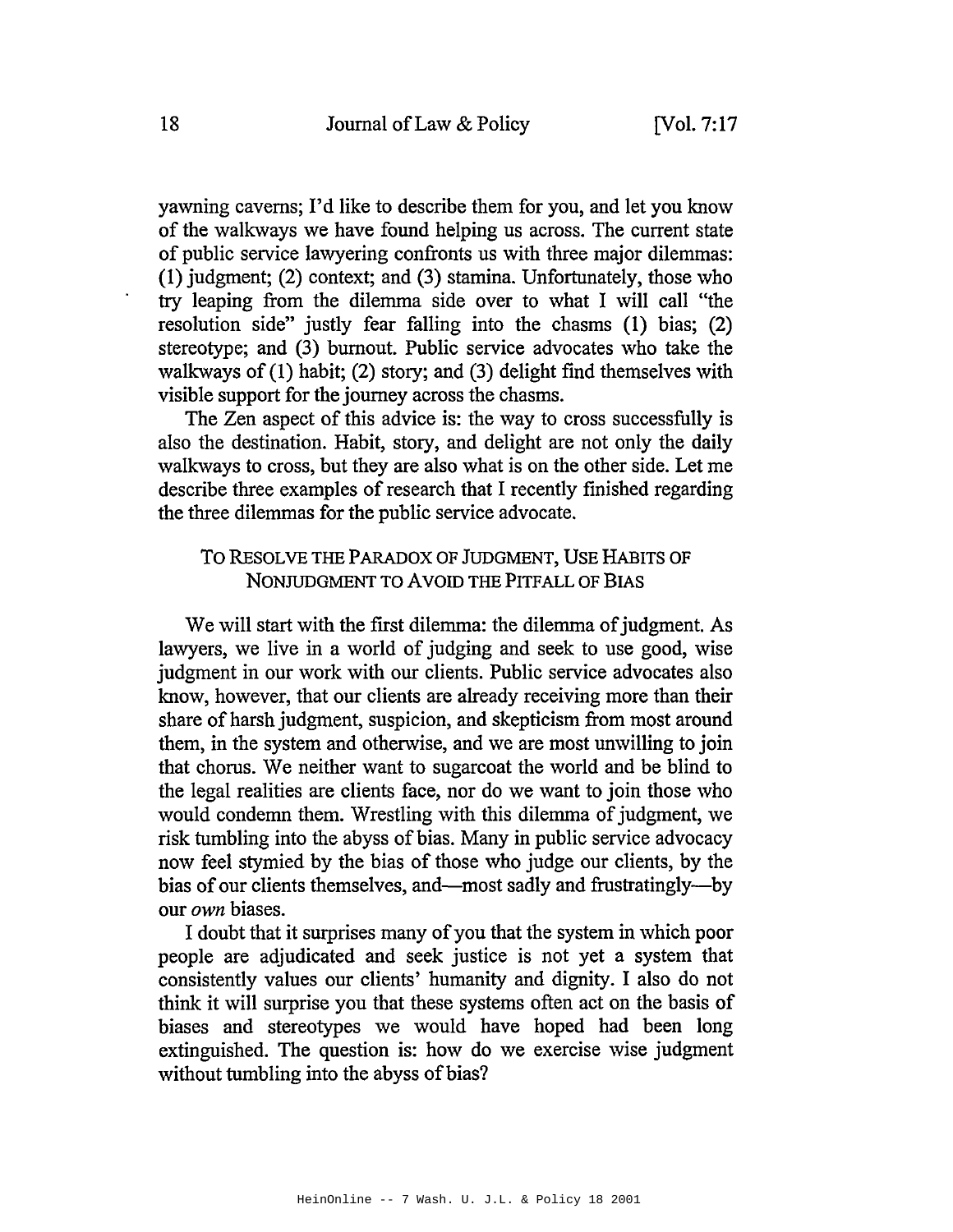yawning caverns; I'd like to describe them for you, and let you know of the walkways we have found helping us across. The current state of public service lawyering confronts us with three major dilemmas: (1) judgment; (2) context; and (3) stamina. Unfortunately, those who try leaping from the dilemma side over to what I will call "the resolution side" justly fear falling into the chasms (1) bias; (2) stereotype; and (3) burnout. Public service advocates who take the walkways of  $(1)$  habit;  $(2)$  story; and  $(3)$  delight find themselves with visible support for the journey across the chasms.

The Zen aspect of this advice is: the way to cross successfully is also the destination. Habit, story, and delight are not only the daily walkways to cross, but they are also what is on the other side. Let me describe three examples of research that I recently finished regarding the three dilemmas for the public service advocate.

### To RESOLVE THE PARADOX OF JUDGMENT, USE HABITS OF NONJUDGMENT TO AVOID THE PITFALL OF BIAS

We will start with the first dilemma: the dilemma of judgment. As lawyers, we live in a world of judging and seek to use good, wise judgment in our work with our clients. Public service advocates also know, however, that our clients are already receiving more than their share of harsh judgment, suspicion, and skepticism from most around them, in the system and otherwise, and we are most unwilling to join that chorus. We neither want to sugarcoat the world and be blind to the legal realities are clients face, nor do we want to join those who would condemn them. Wrestling with this dilemma of judgment, we risk tumbling into the abyss of bias. Many in public service advocacy now feel stymied by the bias of those who judge our clients, by the bias of our clients themselves, and—most sadly and frustratingly—by our *own* biases.

I doubt that it surprises many of you that the system in which poor people are adjudicated and seek justice is not yet a system that consistently values our clients' humanity and dignity. I also do not think it will surprise you that these systems often act on the basis of biases and stereotypes we would have hoped had been long extinguished. The question is: how do we exercise wise judgment without tumbling into the abyss of bias?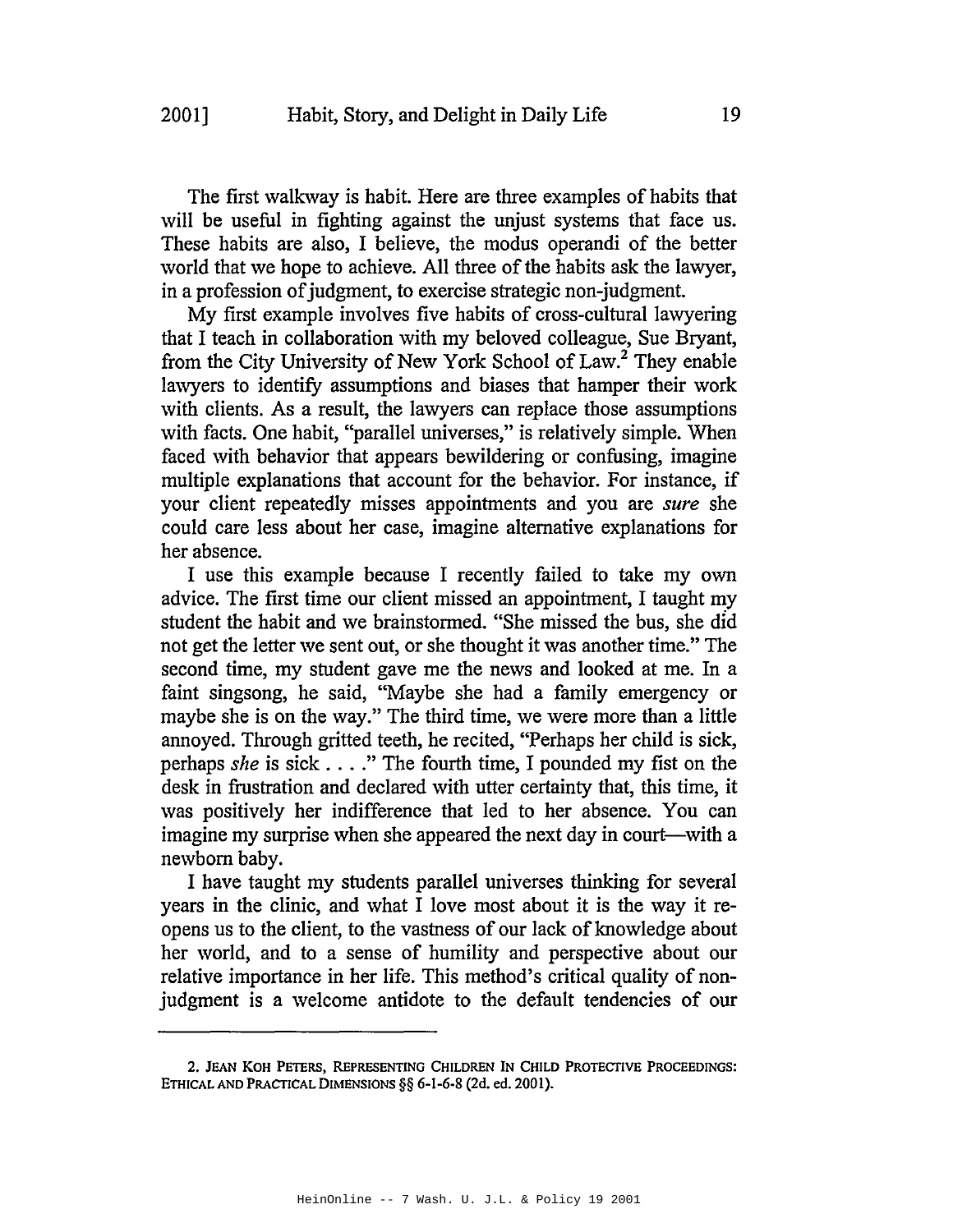The first walkway is habit. Here are three examples of habits that will be useful in fighting against the unjust systems that face us. These habits are also, I believe, the modus operandi of the better world that we hope to achieve. All three of the habits ask the lawyer, in a profession of judgment, to exercise strategic non-judgment.

My first example involves five habits of cross-cultural lawyering that I teach in collaboration with my beloved colleague, Sue Bryant, from the City University of New York School of Law.<sup>2</sup> They enable lawyers to identify assumptions and biases that hamper their work with clients. As a result, the lawyers can replace those assumptions with facts. One habit, "parallel universes," is relatively simple. When faced with behavior that appears bewildering or confusing, imagine multiple explanations that account for the behavior. For instance, if your client repeatedly misses appointments and you are *sure* she could care less about her case, imagine alternative explanations for her absence.

I use this example because I recently failed to take my own advice. The first time our client missed an appointment, I taught my student the habit and we brainstormed. "She missed the bus, she did not get the letter we sent out, or she thought it was another time." The second time, my student gave me the news and looked at me. In a faint singsong, he said, "Maybe she had a family emergency or maybe she is on the way." The third time, we were more than a little annoyed. Through gritted teeth, he recited, "Perhaps her child is sick, perhaps *she* is sick ...." The fourth time, <sup>I</sup> pounded my fist on the desk in frustration and declared with utter certainty that, this time, it was positively her indifference that led to her absence. You can imagine my surprise when she appeared the next day in court—with a newborn baby.

I have taught my students parallel universes thinking for several years in the clinic, and what I love most about it is the way it reopens us to the client, to the vastness of our lack of knowledge about her world, and to a sense of humility and perspective about our relative importance in her life. This method's critical quality of nonjudgment is a welcome antidote to the default tendencies of our

<sup>2.</sup> JEAN KOH PETERS, REpRESENTING CHILDREN IN CHILD PROTECTIVE PROCEEDINGS: ETHICAL AND PRACTICAL DIMENSIONS §§ 6-1-6-8 (2d. ed. 2001).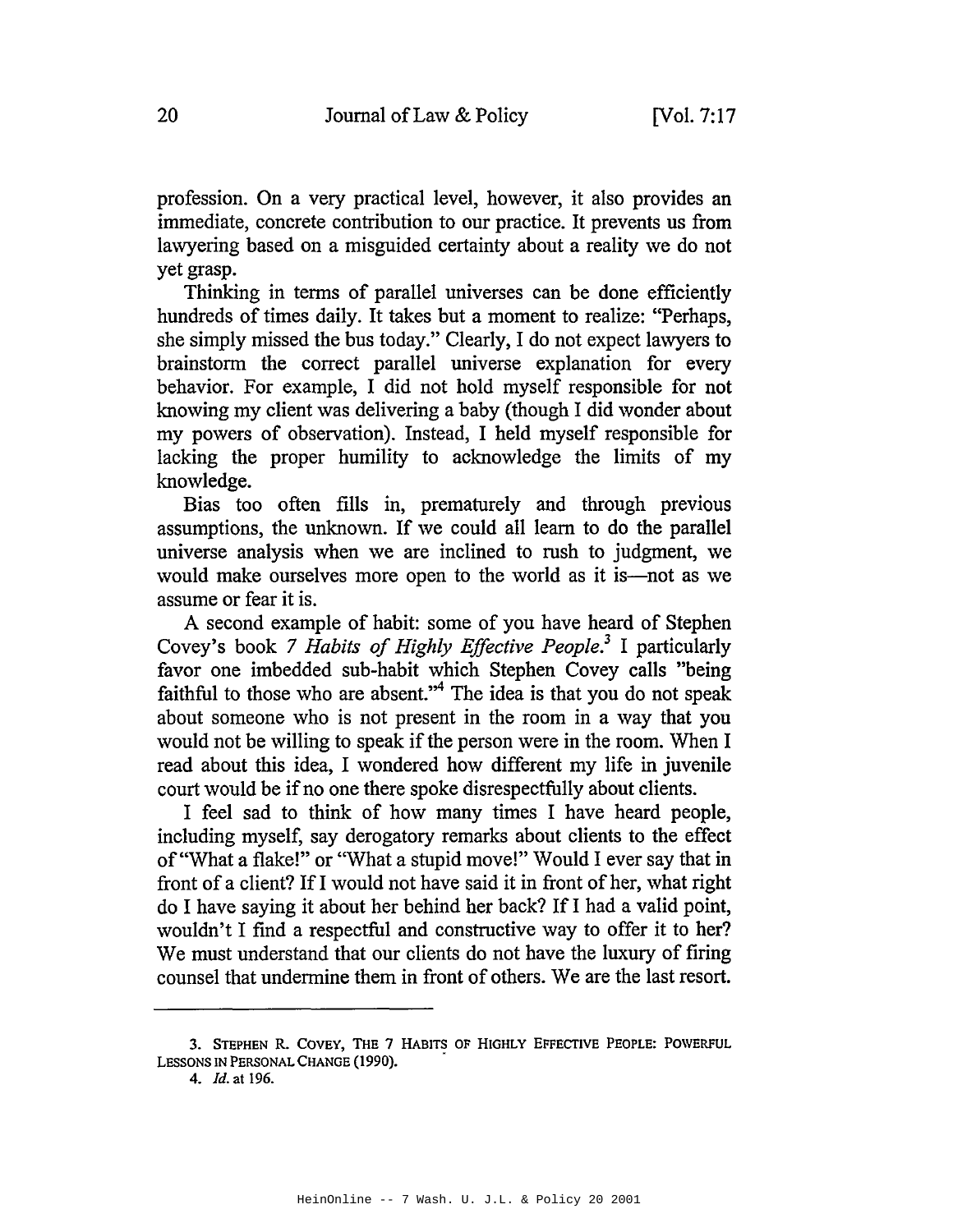profession. On a very practical level, however, it also provides an immediate, concrete contribution to our practice. It prevents us from lawyering based on a misguided certainty about a reality we do not yet grasp.

Thinking in terms of parallel universes can be done efficiently hundreds of times daily. It takes but a moment to realize: "Perhaps, she simply missed the bus today." Clearly, I do not expect lawyers to brainstorm the correct parallel universe explanation for every behavior. For example, I did not hold myself responsible for not knowing my client was delivering a baby (though I did wonder about my powers of observation). Instead, I held myself responsible for lacking the proper humility to acknowledge the limits of my knowledge.

Bias too often fills in, prematurely and through previous assumptions, the unknown. If we could all learn to do the parallel universe analysis when we are inclined to rush to judgment, we would make ourselves more open to the world as it is—not as we assume or fear it is.

A second example of habit: some of you have heard of Stephen Covey's book 7 *Habits of Highly Effective People.<sup>3</sup>* I particularly favor one imbedded sub-habit which Stephen Covey calls "being faithful to those who are absent."<sup>4</sup> The idea is that you do not speak about someone who is not present in the room in a way that you would not be willing to speak if the person were in the room. When I read about this idea, I wondered how different my life in juvenile court would be if no one there spoke disrespectfully about clients.

I feel sad to think of how many times I have heard people, including myself, say derogatory remarks about clients to the effect of "What a flake!" or "What a stupid move!" Would I ever say that in front of a client? IfI would not have said it in front of her, what right do I have saying it about her behind her back? IfI had a valid point, wouldn't I find a respectful and constructive way to offer it to her? We must understand that our clients do not have the luxury of firing counsel that undermine them in front of others. We are the last resort.

<sup>3.</sup> STEPHEN R. COVEY, THE 7 HABITS OF HIGHLY EFFECfIVE PEOPLE: POWERFUL LESSONS IN PERSONAL CHANGE (1990).

*<sup>4.</sup> Id.* at 196.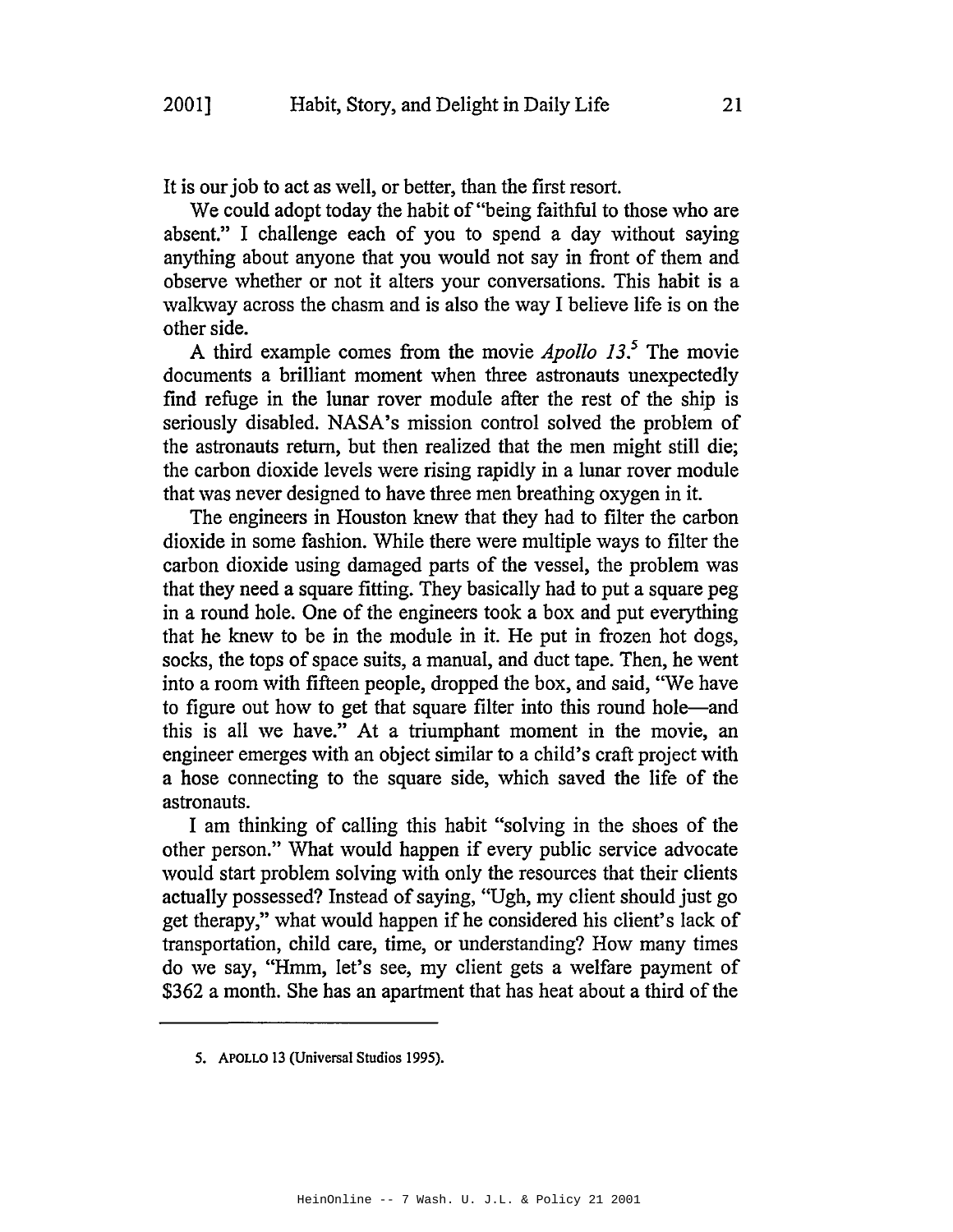It is our job to act as well, or better, than the first resort.

We could adopt today the habit of "being faithful to those who are absent." I challenge each of you to spend a day without saying anything about anyone that you would not say in front of them and observe whether or not it alters your conversations. This habit is a walkway across the chasm and is also the way I believe life is on the other side.

A third example comes from the movie *Apollo* 13.<sup>5</sup> The movie documents a brilliant moment when three astronauts unexpectedly find refuge in the lunar rover module after the rest of the ship is seriously disabled. NASA's mission control solved the problem of the astronauts return, but then realized that the men might still die; the carbon dioxide levels were rising rapidly in a lunar rover module that was never designed to have three men breathing oxygen in it.

The engineers in Houston knew that they had to filter the carbon dioxide in some fashion. While there were multiple ways to filter the carbon dioxide using damaged parts of the vessel, the problem was that they need a square fitting. They basically had to put a square peg in a round hole. One of the engineers took a box and put everything that he knew to be in the module in it. He put in frozen hot dogs, socks, the tops of space suits, a manual, and duct tape. Then, he went into a room with fifteen people, dropped the box, and said, "We have to figure out how to get that square filter into this round hole—and this is all we have." At a triumphant moment in the movie, an engineer emerges with an object similar to a child's craft project with a hose connecting to the square side, which saved the life of the astronauts.

I am thinking of calling this habit "solving in the shoes of the other person." What would happen if every public service advocate would start problem solving with only the resources that their clients actually possessed? Instead of saying, "Ugh, my client should just go get therapy," what would happen if he considered his client's lack of transportation, child care, time, or understanding? How many times do we say, "Hmm, let's see, my client gets a welfare payment of \$362 a month. She has an apartment that has heat about a third of the

<sup>5.</sup> ApOLLO 13 (Universal Studios 1995).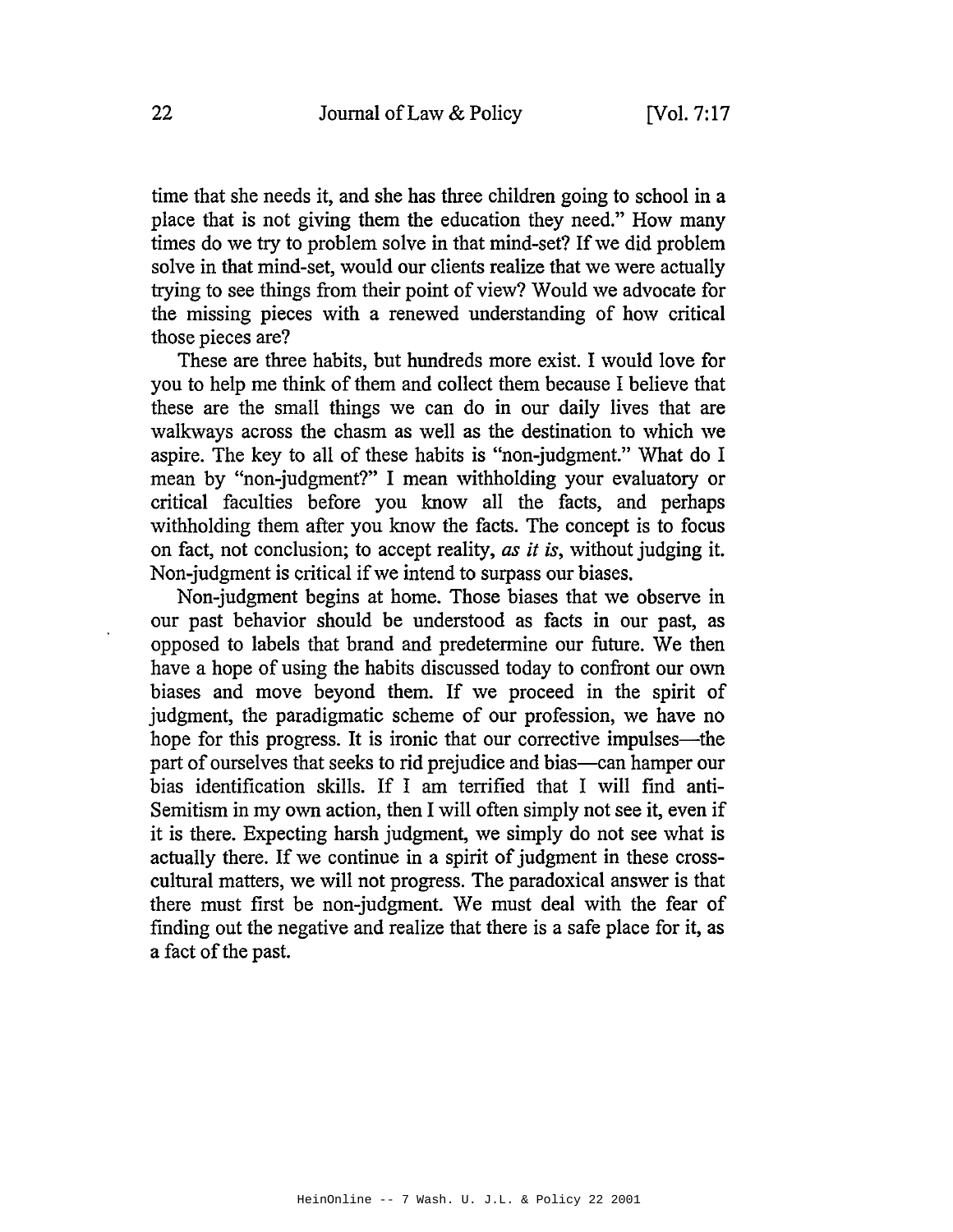time that she needs it, and she has three children going to school in a place that is not giving them the education they need." How many times do we try to problem solve in that mind-set? If we did problem solve in that mind-set, would our clients realize that we were actually trying to see things from their point of view? Would we advocate for the missing pieces with a renewed understanding of how critical those pieces are?

These are three habits, but hundreds more exist. I would love for you to help me think of them and collect them because I believe that these are the small things we can do in our daily lives that are walkways across the chasm as well as the destination to which we aspire. The key to all of these habits is "non-judgment." What do I mean by "non-judgment?" I mean withholding your evaluatory or critical faculties before you know all the facts, and perhaps withholding them after you know the facts. The concept is to focus on fact, not conclusion; to accept reality, *as it is,* without judging it. Non-judgment is critical if we intend to surpass our biases.

Non-judgment begins at home. Those biases that we observe in our past behavior should be understood as facts in our past, as opposed to labels that brand and predetermine our future. We then have a hope of using the habits discussed today to confront our own biases and move beyond them. If we proceed in the spirit of judgment, the paradigmatic scheme of our profession, we have no hope for this progress. It is ironic that our corrective impulses—the part of ourselves that seeks to rid prejudice and bias—can hamper our bias identification skills. If I am terrified that I will find anti-Semitism in my own action, then I will often simply not see it, even if it is there. Expecting harsh judgment, we simply do not see what is actually there. If we continue in a spirit of judgment in these crosscultural matters, we will not progress. The paradoxical answer is that there must first be non-judgment. We must deal with the fear of finding out the negative and realize that there is a safe place for it, as a fact of the past.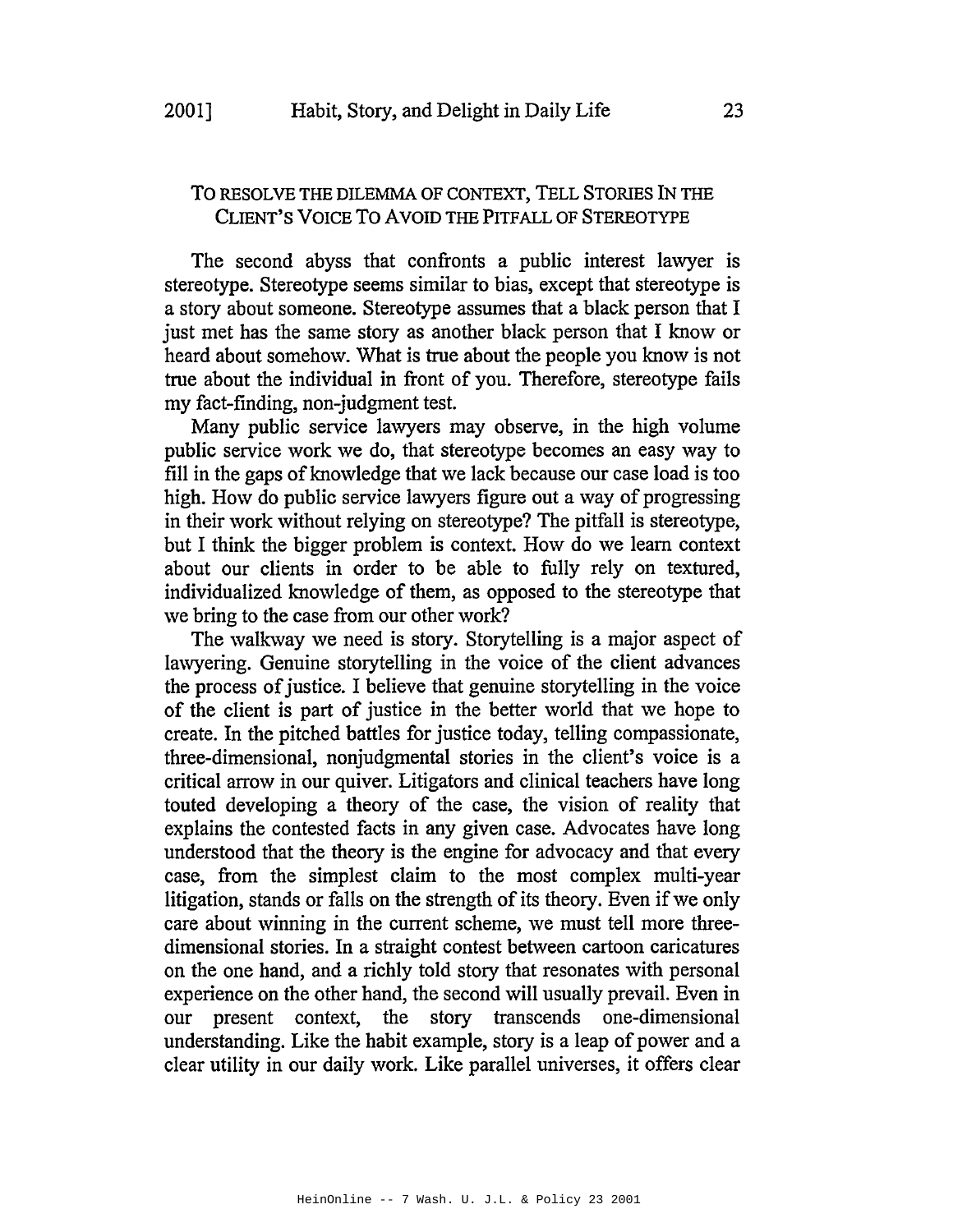#### To RESOLVE THE DILEMMA OF CONTEXT, TELL STORIES IN THE CLIENT'S VOICE To AVOID THE PITFALL OF STEREOTYPE

The second abyss that confronts a public interest lawyer is stereotype. Stereotype seems similar to bias, except that stereotype is a story about someone. Stereotype assumes that a black person that I just met has the same story as another black person that I know or heard about somehow. What is true about the people you know is not true about the individual in front of you. Therefore, stereotype fails my fact-finding, non-judgment test.

Many public service lawyers may observe, in the high volume public service work we do, that stereotype becomes an easy way to fill in the gaps of knowledge that we lack because our case load is too high. How do public service lawyers figure out a way of progressing in their work without relying on stereotype? The pitfall is stereotype, but I think the bigger problem is context. How do we learn context about our clients in order to be able to fully rely on textured, individualized knowledge of them, as opposed to the stereotype that we bring to the case from our other work?

The walkway we need is story. Storytelling is a major aspect of lawyering. Genuine storytelling in the voice of the client advances the process of justice. I believe that genuine storytelling in the voice of the client is part of justice in the better world that we hope to create. In the pitched battles for justice today, telling compassionate, three-dimensional, nonjudgmental stories in the client's voice is a critical arrow in our quiver. Litigators and clinical teachers have long touted developing a theory of the case, the vision of reality that explains the contested facts in any given case. Advocates have long understood that the theory is the engine for advocacy and that every case, from the simplest claim to the most complex multi-year litigation, stands or falls on the strength of its theory. Even if we only care about winning in the current scheme, we must tell more threedimensional stories. In a straight contest between cartoon caricatures on the one hand, and a richly told story that resonates with personal experience on the other hand, the second will usually prevail. Even in our present context, the story transcends one-dimensional understanding. Like the habit example, story is a leap of power and a clear utility in our daily work. Like parallel universes, it offers clear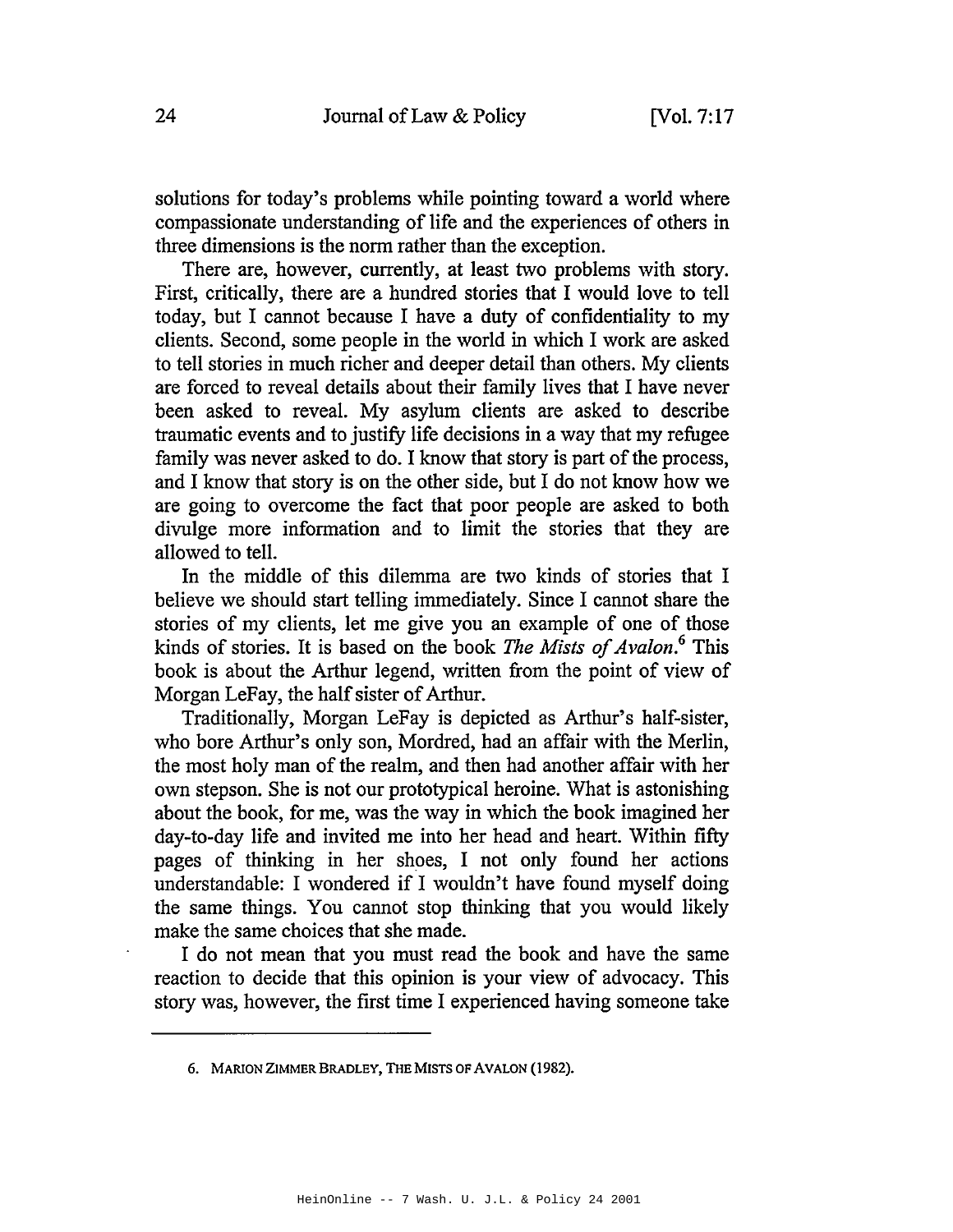solutions for today's problems while pointing toward a world where compassionate understanding of life and the experiences of others in three dimensions is the norm rather than the exception.

There are, however, currently, at least two problems with story. First, critically, there are a hundred stories that I would love to tell today, but I cannot because I have a duty of confidentiality to my clients. Second, some people in the world in which I work are asked to tell stories in much richer and deeper detail than others. My clients are forced to reveal details about their family lives that I have never been asked to reveal. My asylum clients are asked to describe traumatic events and to justify life decisions in a way that my refugee family was never asked to do. I know that story is part of the process, and I know that story is on the other side, but I do not know how we are going to overcome the fact that poor people are asked to both divulge more information and to limit the stories that they are allowed to tell.

In the middle of this dilemma are two kinds of stories that I believe we should start telling immediately. Since I cannot share the stories of my clients, let me give you an example of one of those kinds of stories. It is based on the book *The Mists of Avalon.*<sup>6</sup> This book is about the Arthur legend, written from the point of view of Morgan LeFay, the half sister of Arthur.

Traditionally, Morgan LeFay is depicted as Arthur's half-sister, who bore Arthur's only son, Mordred, had an affair with the Merlin, the most holy man of the realm, and then had another affair with her own stepson. She is not our prototypical heroine. What is astonishing about the book, for me, was the way in which the book imagined her day-to-day life and invited me into her head and heart. Within fifty pages of thinking in her shoes, I not only found her actions understandable: I wondered if I wouldn't have found myself doing the same things. You cannot stop thinking that you would likely make the same choices that she made.

I do not mean that you must read the book and have the same reaction to decide that this opinion is your view of advocacy. This story was, however, the first time I experienced having someone take

<sup>6.</sup> MARION ZIMMER BRADLEY, THE MISTS OF AVALON (1982).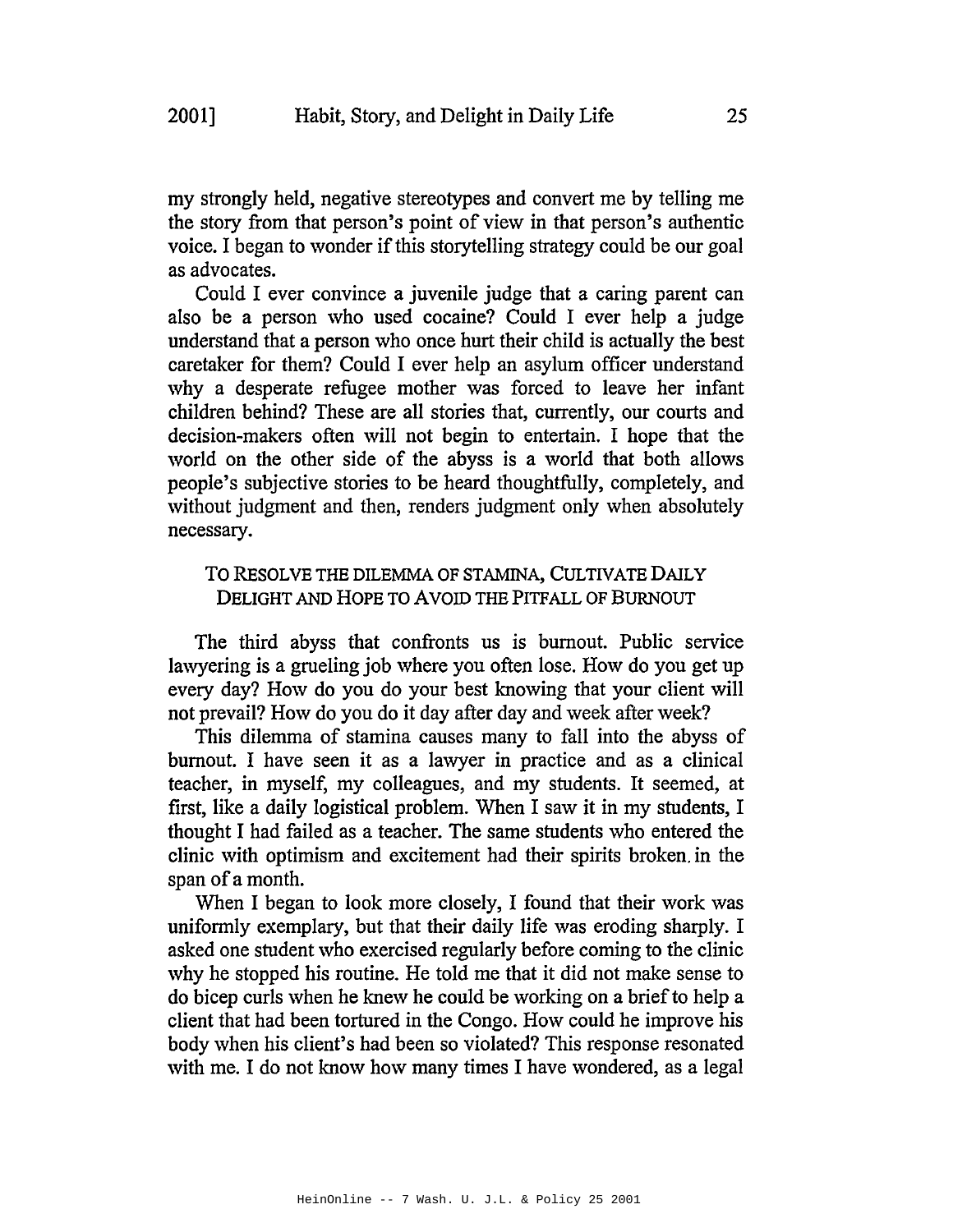my strongly held, negative stereotypes and convert me by telling me the story from that person's point of view in that person's authentic voice. I began to wonder if this storytelling strategy could be our goal as advocates.

Could I ever convince a juvenile judge that a caring parent can also be a person who used cocaine? Could I ever help a judge understand that a person who once hurt their child is actually the best caretaker for them? Could I ever help an asylum officer understand why a desperate refugee mother was forced to leave her infant children behind? These are all stories that, currently, our courts and decision-makers often will not begin to entertain. I hope that the world on the other side of the abyss is a world that both allows people's subjective stories to be heard thoughtfully, completely, and without judgment and then, renders judgment only when absolutely necessary.

### TO RESOLVE THE DILEMMA OF STAMINA, CULTIVATE DAILY DELIGHT AND HOPE TO AVOID THE PITFALL OF BURNOUT

The third abyss that confronts us is burnout. Public service lawyering is a grueling job where you often lose. How do you get up every day? How do you do your best knowing that your client will not prevail? How do you do it day after day and week after week?

This dilemma of stamina causes many to fall into the abyss of burnout. I have seen it as a lawyer in practice and as a clinical teacher, in myself, my colleagues, and my students. It seemed, at first, like a daily logistical problem. When I saw it in my students, I thought I had failed as a teacher. The same students who entered the clinic with optimism and excitement had their spirits broken. in the span of a month.

When I began to look more closely, I found that their work was uniformly exemplary, but that their daily life was eroding sharply. I asked one student who exercised regularly before coming to the clinic why he stopped his routine. He told me that it did not make sense to do bicep curls when he knew he could be working on a briefto help a client that had been tortured in the Congo. How could he improve his body when his client's had been so violated? This response resonated with me. I do not know how many times I have wondered, as a legal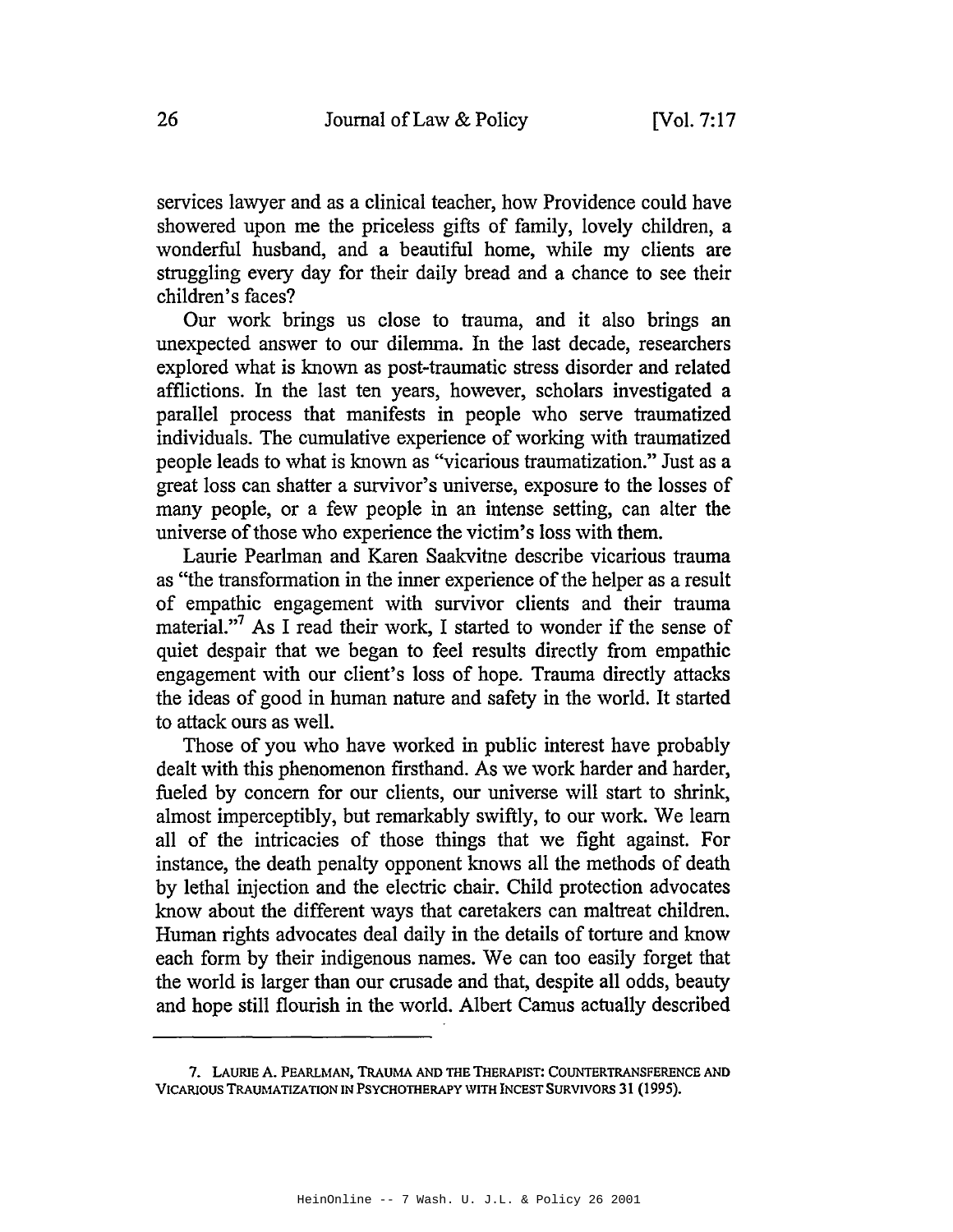services lawyer and as a clinical teacher, how Providence could have showered upon me the priceless gifts of family, lovely children, a wonderful husband, and a beautiful home, while my clients are struggling every day for their daily bread and a chance to see their children's faces?

Our work brings us close to trauma, and it also brings an unexpected answer to our dilemma. In the last decade, researchers explored what is known as post-traumatic stress disorder and related afflictions. In the last ten years, however, scholars investigated a parallel process that manifests in people who serve traumatized individuals. The cumulative experience of working with traumatized people leads to what is known as "vicarious traumatization." Just as a great loss can shatter a survivor's universe, exposure to the losses of many people, or a few people in an intense setting, can alter the universe of those who experience the victim's loss with them.

Laurie Pearlman and Karen Saakvitne describe vicarious trauma as "the transformation in the inner experience of the helper as a result of empathic engagement with survivor clients and their trauma material."<sup>7</sup> As I read their work, I started to wonder if the sense of quiet despair that we began to feel results directly from empathic engagement with our client's loss of hope. Trauma directly attacks the ideas of good in human nature and safety in the world. It started to attack ours as well.

Those of you who have worked in public interest have probably dealt with this phenomenon firsthand. As we work harder and harder, fueled by concern for our clients, our universe will start to shrink, almost imperceptibly, but remarkably swiftly, to our work. We learn all of the intricacies of those things that we fight against. For instance, the death penalty opponent knows all the methods of death by lethal injection and the electric chair. Child protection advocates know about the different ways that caretakers can maltreat children. Human rights advocates deal daily in the details of torture and know each form by their indigenous names. We can too easily forget that the world is larger than our crusade and that, despite all odds, beauty and hope still flourish in the world. Albert Camus actually described

<sup>7.</sup> LAURlE A. PEARLMAN, TRAUMA AND THE THERAPIST: COUNTERTRANSFERENCE AND VICARlOUS TRAUMATIZATION IN PSYCHOTHERAPY WITH INCEST SURVIVORS 31 (1995).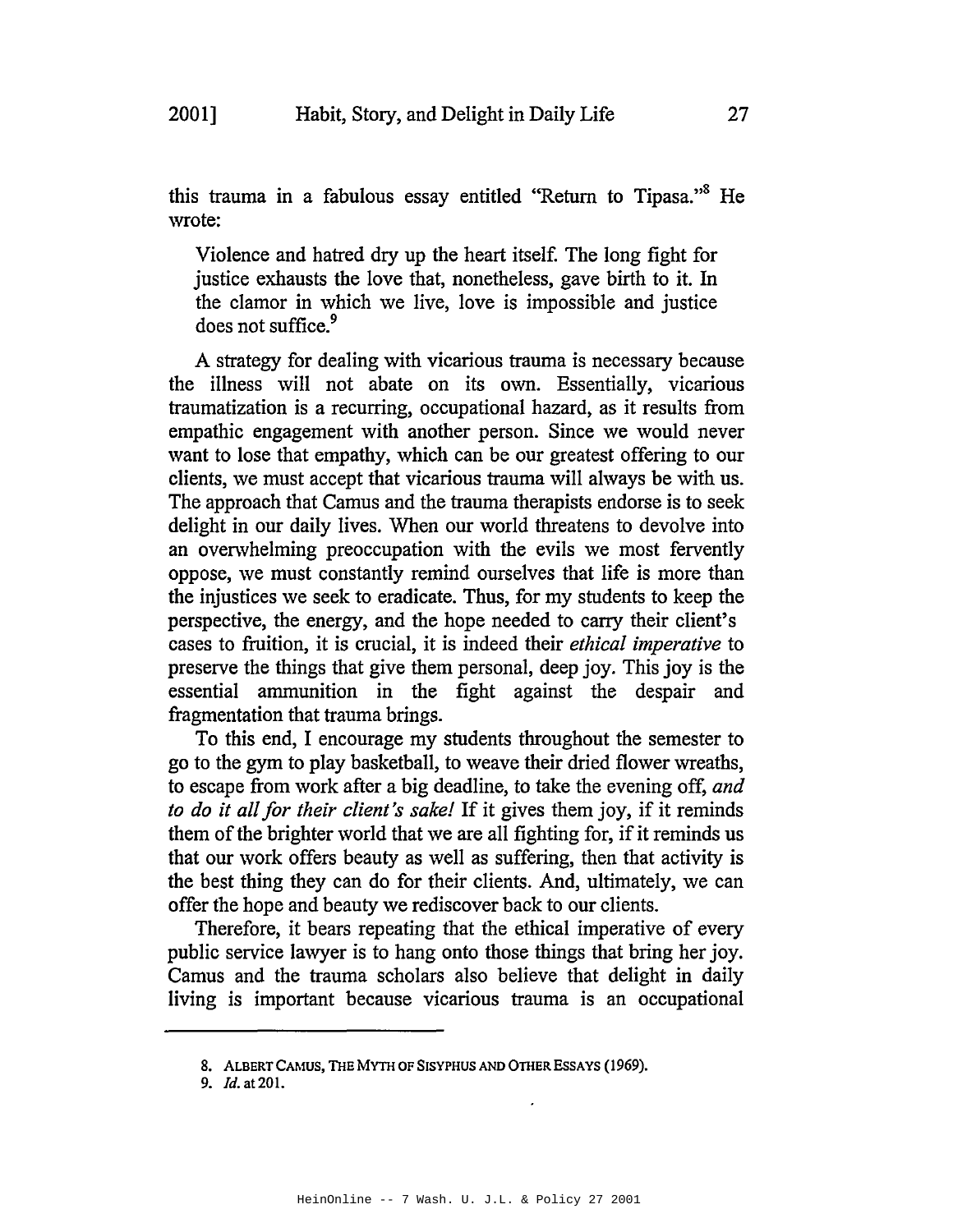this trauma in a fabulous essay entitled "Return to Tipasa."<sup>8</sup> He wrote:

Violence and hatred dry up the heart itself. The long fight for justice exhausts the love that, nonetheless, gave birth to it. In the clamor in which we live, love is impossible and justice does not suffice.<sup>9</sup>

A strategy for dealing with vicarious trauma is necessary because the illness will not abate on its own. Essentially, vicarious traumatization is a recurring, occupational hazard, as it results from empathic engagement with another person. Since we would never want to lose that empathy, which can be our greatest offering to our clients, we must accept that vicarious trauma will always be with us. The approach that Camus and the trauma therapists endorse is to seek delight in our daily lives. When our world threatens to devolve into an overwhelming preoccupation with the evils we most fervently oppose, we must constantly remind ourselves that life is more than the injustices we seek to eradicate. Thus, for my students to keep the perspective, the energy, and the hope needed to carry their client's cases to fruition, it is crucial, it is indeed their *ethical imperative* to preserve the things that give them personal, deep joy. This joy is the essential ammunition in the fight against the despair and fragmentation that trauma brings.

To this end, I encourage my students throughout the semester to go to the gym to play basketball, to weave their dried flower wreaths, to escape from work after a big deadline, to take the evening off, *and to do it allfor their client's sake!* If it gives them joy, if it reminds them of the brighter world that we are all fighting for, if it reminds us that our work offers beauty as well as suffering, then that activity is the best thing they can do for their clients. And, ultimately, we can offer the hope and beauty we rediscover back to our clients.

Therefore, it bears repeating that the ethical imperative of every public service lawyer is to hang onto those things that bring her joy. Camus and the trauma scholars also believe that delight in daily living is important because vicarious trauma is an occupational

<sup>8.</sup> ALBERT CAMUS, THE MYTH OF SISYPHUS AND OTHER EsSAYS (1969).

*<sup>9.</sup> ld.* at 201.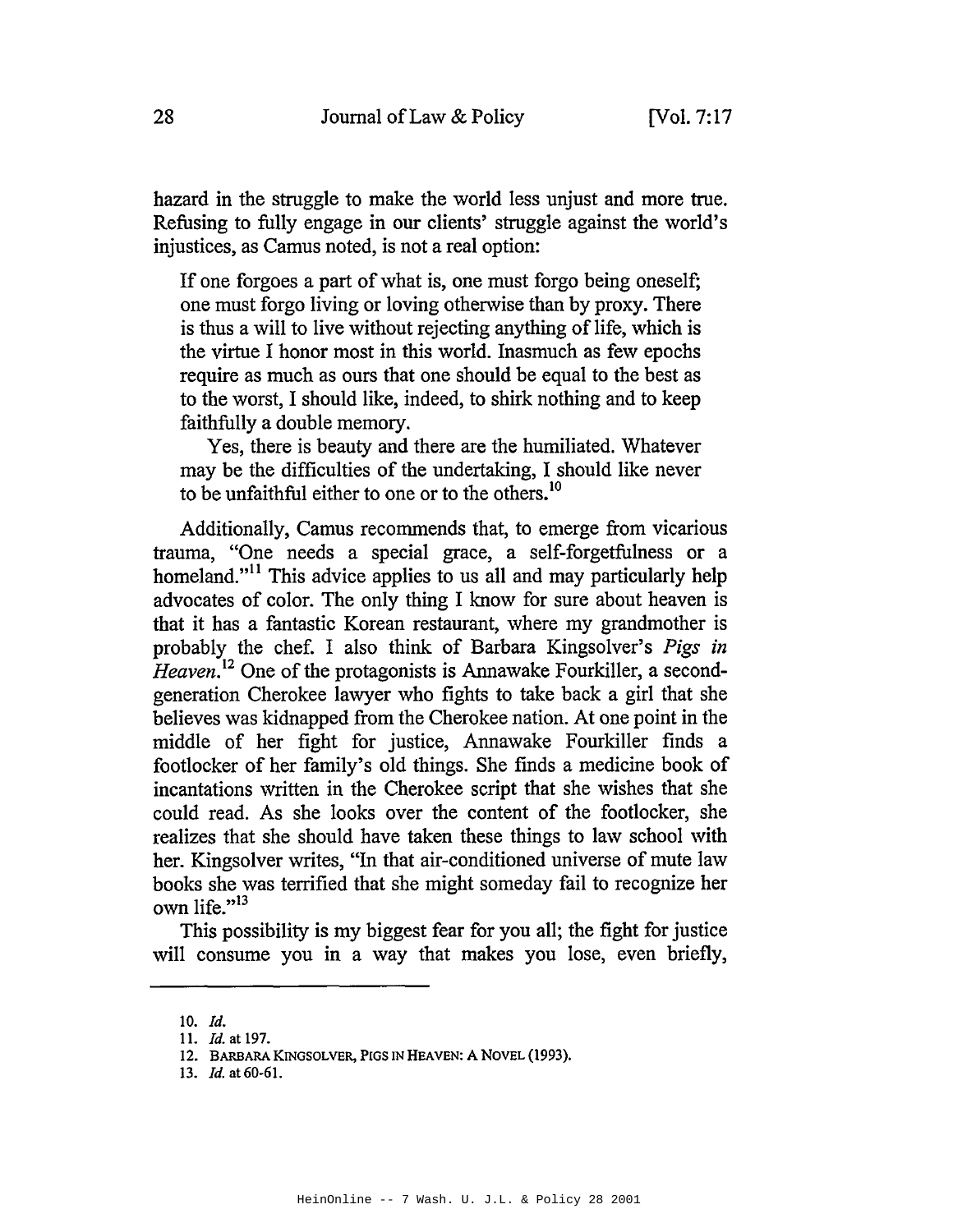hazard in the struggle to make the world less unjust and more true. Refusing to fully engage in our clients' struggle against the world's injustices, as Camus noted, is not a real option:

If one forgoes a part of what is, one must forgo being oneself; one must forgo living or loving otherwise than by proxy. There is thus a will to live without rejecting anything of life, which is the virtue I honor most in this world. Inasmuch as few epochs require as much as ours that one should be equal to the best as to the worst, I should like, indeed, to shirk nothing and to keep faithfully a double memory.

Yes, there is beauty and there are the humiliated. Whatever may be the difficulties of the undertaking, I should like never to be unfaithful either to one or to the others.<sup>10</sup>

Additionally, Camus recommends that, to emerge from vicarious trauma, "One needs a special grace, a self-forgetfulness or a homeland."<sup>11</sup> This advice applies to us all and may particularly help advocates of color. The only thing I know for sure about heaven is that it has a fantastic Korean restaurant, where my grandmother is probably the chef. I also think of Barbara Kingsolver's *Pigs in Heaven*<sup>12</sup> One of the protagonists is Annawake Fourkiller, a secondgeneration Cherokee lawyer who fights to take back a girl that she believes was kidnapped from the Cherokee nation. At one point in the middle of her fight for justice, Annawake Fourkiller finds a footlocker of her family's old things. She finds a medicine book of incantations written in the Cherokee script that she wishes that she could read. As she looks over the content of the footlocker, she realizes that she should have taken these things to law school with her. Kingsolver writes, "In that air-conditioned universe of mute law books she was terrified that she might someday fail to recognize her own life. $v^{13}$ 

This possibility is my biggest fear for you all; the fight for justice will consume you in a way that makes you lose, even briefly,

<sup>10.</sup> Id.

<sup>11.</sup> *Id.* at 197.

<sup>12.</sup> BARBARA KINGSOLVER, PIGS IN HEAVEN: A NOVEL (1993).

*<sup>13.</sup> [d.* at 60-61.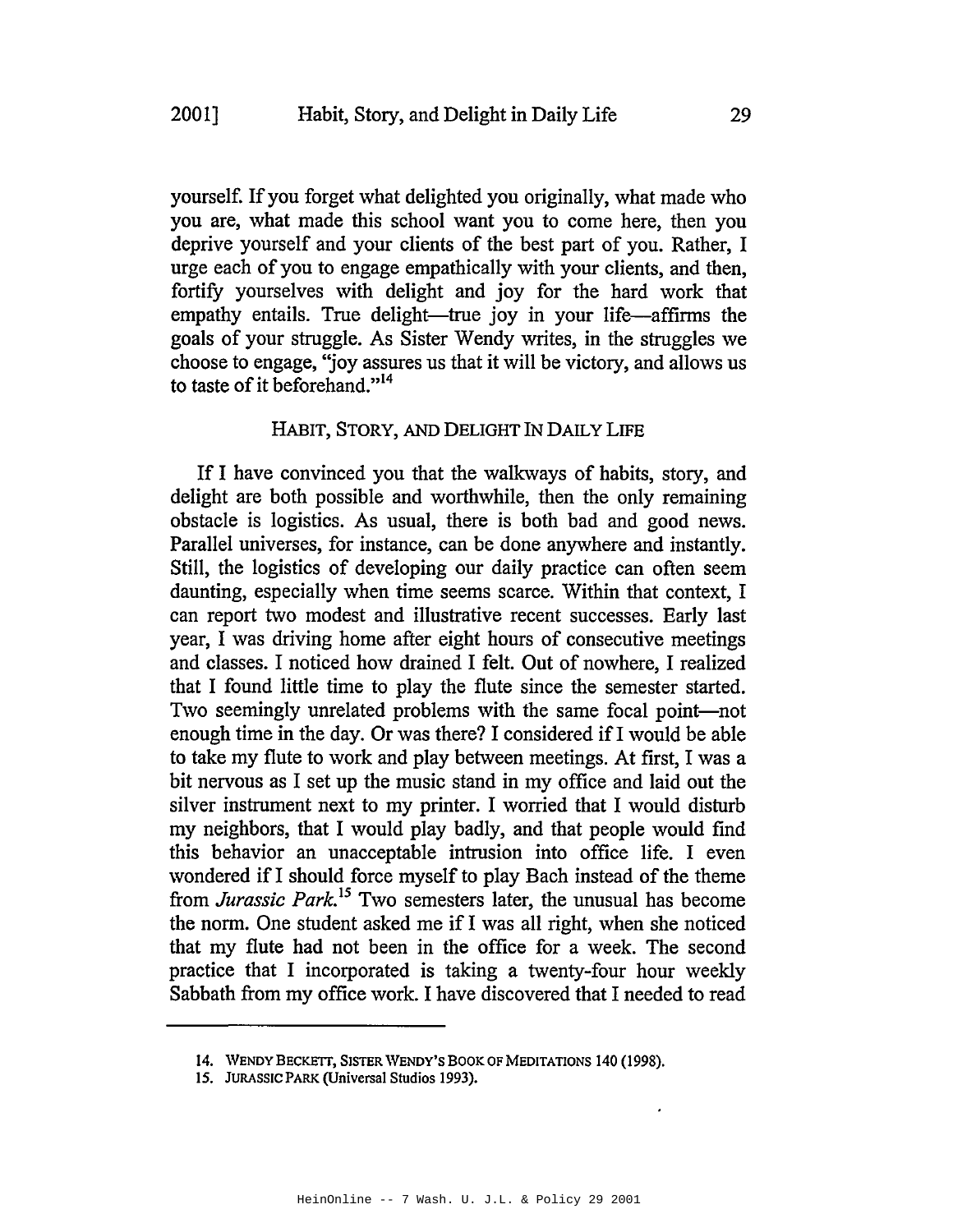yourself. If you forget what delighted you originally, what made who you are, what made this school want you to come here, then you deprive yourself and your clients of the best part of you. Rather, I urge each of you to engage empathically with your clients, and then, fortify yourselves with delight and joy for the hard work that empathy entails. True delight—true joy in your life—affirms the goals of your struggle. As Sister Wendy writes, in the struggles we choose to engage, ''joy assures us that it will be victory, and allows us to taste of it beforehand."<sup>14</sup>

#### HABIT, STORY, AND DELIGHT IN DAILY LIFE

If I have convinced you that the walkways of habits, story, and delight are both possible and worthwhile, then the only remaining obstacle is logistics. As usual, there is both bad and good news. Parallel universes, for instance, can be done anywhere and instantly. Still, the logistics of developing our daily practice can often seem daunting, especially when time seems scarce. Within that context, I can report two modest and illustrative recent successes. Early last year, I was driving home after eight hours of consecutive meetings and classes. I noticed how drained I felt. Out of nowhere, I realized that I found little time to play the flute since the semester started. Two seemingly unrelated problems with the same focal point-not enough time in the day. Or was there? I considered if I would be able to take my flute to work and play between meetings. At first, I was a bit nervous as I set up the music stand in my office and laid out the silver instrument next to my printer. I worried that I would disturb my neighbors, that I would play badly, and that people would find this behavior an unacceptable intrusion into office life. I even wondered if I should force myself to play Bach instead of the theme from *Jurassic Park*.<sup>15</sup> Two semesters later, the unusual has become the norm. One student asked me if I was all right, when she noticed that my flute had not been in the office for a week. The second practice that I incorporated is taking a twenty-four hour weekly Sabbath from my office work. I have discovered that I needed to read

<sup>14.</sup> WENDY BECKETT, SISTER WENDY'S BOOK OF MEDITATIONS 140 (1998).

<sup>15.</sup> JURASSIC PARK (Universal Studios 1993).